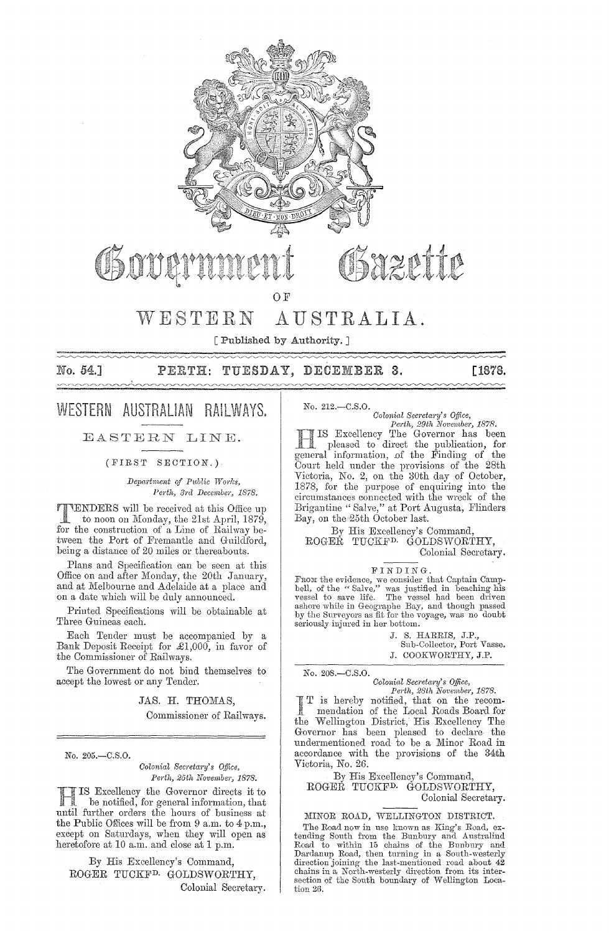

## WESTERN AUSTRALIA.

[Published by Authority.]

## No. 54.] PERTH: TUESDAY, DECEMBER 3. [1878.

## WESTERN AUSTRALIAN RAILWAYS.

#### EASTERN LINE.

(FIRST SECTION.)

*Department of P1,blic Works, Perth, 3rd December, 1878.* 

TENDERS will be received at this Office up to noon on Monday, the 21st April, 1879, for the construction of a Line of Railway between the Port of Fremantle and Guildford, being a distance of 20 miles or thereabouts.

Plans and Specification can he seen at this Office on and after Monday, the 20th January, and at Melbourne and Adelaide at a place and on a date which will be duly announced.

Printed Specifications will be obtainable at Three Guineas each.

Each Tender must be accompanied by a Bank Deposit Receipt for £1,000, in favor of the Commissioner of Railways.

The Government do not bind themselves to accept the lowest or any Tender.

> JAS. H. THOMAS, Commissioner of Railways.

No. 205.-C.S.0.

*Colonial Secretary's Office, Perth, 25th November, 1878.* 

IS Excellency the Governor directs it to be notified, for general information, that until further orders the hours of business at the Public Offices will be from  $9$  a.m. to  $4$  p.m., except on Saturdays, when they will open as heretofore at 10 a.m. and close at 1 p.m.

By His Excellency's Command, ROGER TUCKFD. GOLDSWORTHY, Colonial Secretary. No. 212.-C.S.0.

*Colonial Bec1'eta1'Y's Office, Pm'th, 29th November, 1878.*  Excellency The Governor has been

pleased to direct the publication, for general information, of the Finding of the Court held under the provisions of the 28th Victoria, No. 2, on the 30th day of October, 1878, for the purpose of enquiring into the circumstances connected with the wreck of the Brigantine" Salve," at Port Augusta, Flinders Bay, on the 25th October last.

By His Excellency's Command, ROGEŘ TUCKF<sup>D.</sup> GOLDSWORTHY, Colonial Secretary.

#### FINDING.

From the evidence, we consider that Captain Camp-<br>bell, of the "Salve," was justified in beaching his vessel to save life. The vessel had been driven ashore while in Geographe Bay, and though passed by the Surveyors as fit for the voyage, was no doubt seriously injured in her bottom.

> J. S. HARRIS, J.P., Sub-Collector, Port Vasse. J. COOKWORTHY, J.P.

No. 208.-C.S.0.

*Colonial BeCl'etwI'Y's Office,* 

*Perth, 28th Noventbe1', 1878.*  I T is hereby notified, that on the recom-<br>mendation of the Local Roads Board for<br>the Wellington District, His Excellency The is hereby notified, that on the recommendation of the Local Roads Board for Governor has been pleased to declare the undermentioned road to he a Minor Road in accordance with the provisions of the 34th Victoria, No. 26.

By His Excellency's Command, ROGER TUCKFD. GOLDSWORTHY, Colonial Secretary.

MINOR ROAD, WELLINGTON DISTRICT.

The Road now in use known as King's Road, extending South from the Bunbury and Australind<br>Road to within 15 chains of the Bunbury and<br>Dardanup Road, then turning in a South-westerly<br>direction joining the last-mentioned road about 42 chains in a North-westerly direction from its intersection of the South boundary of Wellington Location 26.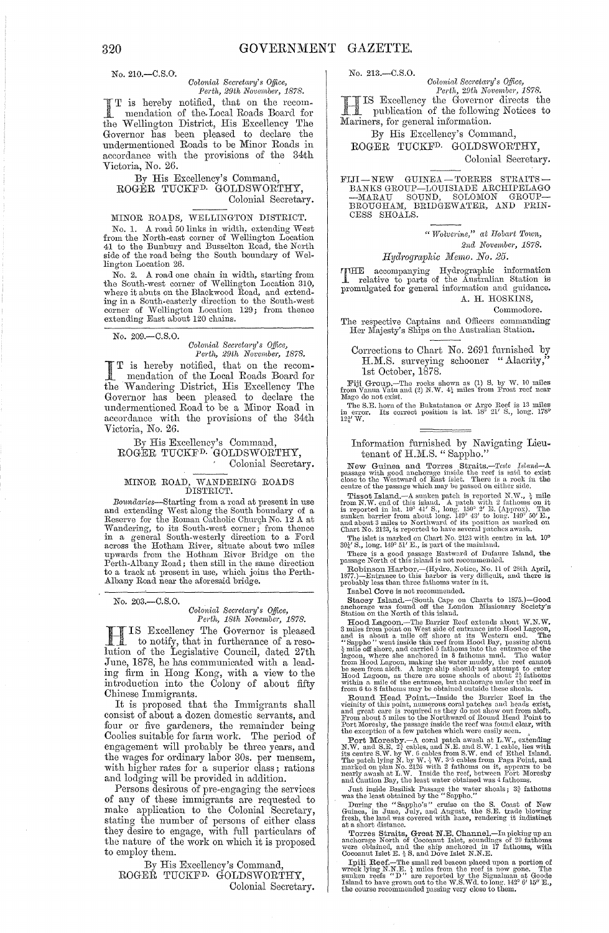No. 210.-C.S.O.

*Colonial Secretary's Office, Perth, 29th November, 1878.* 

I T is hereby notified, that on the recom-<br>mendation of the Local Roads Board for<br>the Wellington District. His Excellency The T is hereby notified, that on the recomthe Wellington District, His Excellency The Governor has been pleased to declare the undermentioned Roads to be Minor Roads in accordance with the provisions of the 34th Victoria, No. 26.

By His Excellency's Command, ROGÉR TUCKF<sup>D.</sup> GOLDSWORTHY,<br>Colonial Secretary.

#### MINOR ROADS, WELLINGTON DISTRICT.

No. 1. A road 50 links in width, extending West from the North-east corner of Wellington Location 41 to the Bunbury and Busselton Road, the North side of the road being the South boundary of Wellington Location 26.

No. 2. A road one chain in width, starting from the Sonth-west corner of Wellington Location 310, where it abuts on the Blackwood Road, and extending in a South-easterly direction to the South-west corner of Wellington Location 129; from thence extending East about 120 chains.

No. 209.-C.S.0.

## *Colonial Secretary's Office, Pel·th, 29th Not'ember, 1878.*

I T is hereby notified, that on the recom-<br>
mendation of the Local Roads Board for<br>
the Wendation District His Excellence The the Wandering District, His Excellency The Governor has been pleased to declare the undermentioned Road to be a Minor Road in accordance with the provisions of the 34th Victoria, No. 26.

#### By His Excellency's Command, ROGER TUCKFD. GOLDSWORTHY,

# COLONIAL TUCKE<sup>D</sup>. GOLDSWOKIHT,<br>
Colonial Secretary.<br>
MINOR ROAD, WANDERING ROADS<br>
DISTRICT.

Boundaries—Starting from a road at present in use<br>and extending West along the South boundary of a<br>Reserve for the Roman Catholic Church No. 12 A at Wandering, to its South-west corner; from thence<br>in a general South-westerly direction to a Ford<br>across the Hotham River, situate about two miles<br>upwards from the Hotham River Bridge on the<br>Perth-Albany Road; then still in to a track at present in use, which joins the Perth-Albany Road near the aforesaid bridge.

No. 203.-C.S.O.

#### *Colonial Secl'etal'Y's Office,*  Perth, 18th November, 1878.

H IS Excellency The Governor is pleased to notify, that in furtherance of a resolution of the Legislative Council, dated 27th June, 1878, he has communicated with a leading firm in Hong Kong, with a view to the introduction into the Colony of about fifty Chinese Immigrants.

It is proposed that the Immigrants shall consist of about a dozen domestic servants, and four or five gardeners, the remainder being Coolies suitable for farm work. The period of engagement will probably be three years, and the wages for ordinary labor 30s. per mensem, with higher rates for a superior class; rations and lodging will be provided in addition.

Persons desirous of pre-engaging the services of any of these immigrants are requested to make application to the Colonial Secretary, stating the number of persons of either class they desire to engage, with full particulars of the nature of the work on which it is proposed to employ them.

By His Excellency's Command, ROGEŘ TUCKF<sup>D</sup> GOLDSWORTHY,

Colonial Secretary.

No. 213.-C.S.0.

 $Colonial$  Secretary's Office,

*Perth, 29th November, 1878.*<br> **IS Excellency the Governor directs the** IS Excellency the Governor directs the publication of the following Notices to Mariners, for general information.

By His Excellency's Command, ROGER TUCKFD. GOLDSWORTHY,

Colonial Secretary.

FIJI-NEW GUINEA-TORRES STRAITS-<br>BANKS GROUP-LOUISIADE ARCHIPELAGO<br>-MARAU SOUND, SOLOMON GROUP-<br>BROUGHAM, BRIDGEWATER, AND PRIN-CESS SHOALS.

*"Wolvel'ine," at IJoba1't Town,* 

*2nd November, 1878.* 

*Hydrographic Memo. No. 25.* 

THE accompanying Hydrographic information relative to parts of the Australian Station is promulgated for general information and guidance. A. H. HOSKINS,

Commodore.

The respective Captains and Officers commanding<br>Her Majesty's Ships on the Australian Station.

Corrections to Chart No. 2691 furnished by H.M.S. surveying schooner "Alacrity," 1st October, 1878.

Fiji Group.--The rocks shown as (1) S. by W. 10 miles from Vanua Vatu and (2) N.W.  $4\frac{1}{2}$  miles from Frost reef near Mago do not exist.

The S.E. horn of the Bukatatanoa or Argo Reef is 13 miles ill error. Its correct position is lat. IS<sup>3</sup> 21' S., long. 178° in error.<br> $12\frac{3}{4}$  W.

Information furnished by Navigating Lieutenant of H.M.S. " Sappho."

New Guinea and Torres Straits.—Teste Island—A passage with good anchorage inside the recf is said to exist close to the Westward of East islet. There is a rock in the centre of the passage which may be passed on either sid

Tissot Island, --A sunken patch is reported N.W.,  $\frac{1}{2}$  mile from N.W. end of this island. A patch with 2 fathoms on it is reported in lat. 10° 41′ S., long. 150° 2′ E. (Approx). The sunken barrier from about long. 14 and about 3 miles to Northward of its position as marked on Chart No. 2123, is reported to have several patches awash.

The islet is marked on Chart No. 2123 with centre in lat.  $10^{\circ}$   $80\frac{1}{4}$   $8$ , long.  $149^{\circ}$   $51'$  E., is part of the mainland.<br>There is a good passage Eastward of Dufaure Island, the passage North of this island i

 $\overline{\phantom{i}}$  Robinson Harbor.—(Hydro. Notice, No. 11 of 28th April, 1877.)—Entmnee to this harbor is very difficult, and there is probably less than three fathoms water in it.

Isabel Cove is not recommended.

Stacey Island.--(South Cape on Charts to 1875.)--Good anchorage was found off the London Missionary Society's<br>Station on the North of this island.

Hood Lagoon.—The Barrier Reef extends about W.N.W.<br>3 miles from point on West side of entrance into Hood Lagoon, and<br>is a shout a mile off shore at its Western end Lood Lagoon, where in<br>the "Sappho" went inside this reef

Port Moresby.--A coral patch awash at L.W., extending N.W. and S.E.  $2\frac{3}{4}$  cables, and N.E. and S.W. 1 cable, lies with its centre S.W. by W. 6 cables from S.W. end of Ethel Island.<br>The patch lying N. by W. 3 W. 3 cables from Paga Point, and<br>marked on plan No. 2126 with 2 fathoms on it, appears to be<br>nearly awash at L.W. Inside the reef, be

Just inside Basilisk Passage the water shoals;  $3\frac{3}{4}$  fathoms was the least obtained by the "Sappho."

During the "Sappho's" cruise on the S. Coast of New Guinea, in June, July, and August, the S.E. trade blowing fres11, the land was covered with haze, rendering it indistinct at *a* short distance.

Torres Straits, Great N.E. Channel.—In picking up an anchorage North of Cocoanut Islet, soundings of 20 fathoms were obtained, and the ship machored in 17 fathoms, with Cocoanut Islet E.  $_2$  S. and Dove Islet N.N.E.

Ipili Reef.—The small red beacon placed upon a portion of wreck lying N.N.E.  $\frac{1}{4}$  miles from the reef is now gone. The sumken reefs "D" are reported by the Sigmalman at Goode Island to have grown out to the W.S.Wd. t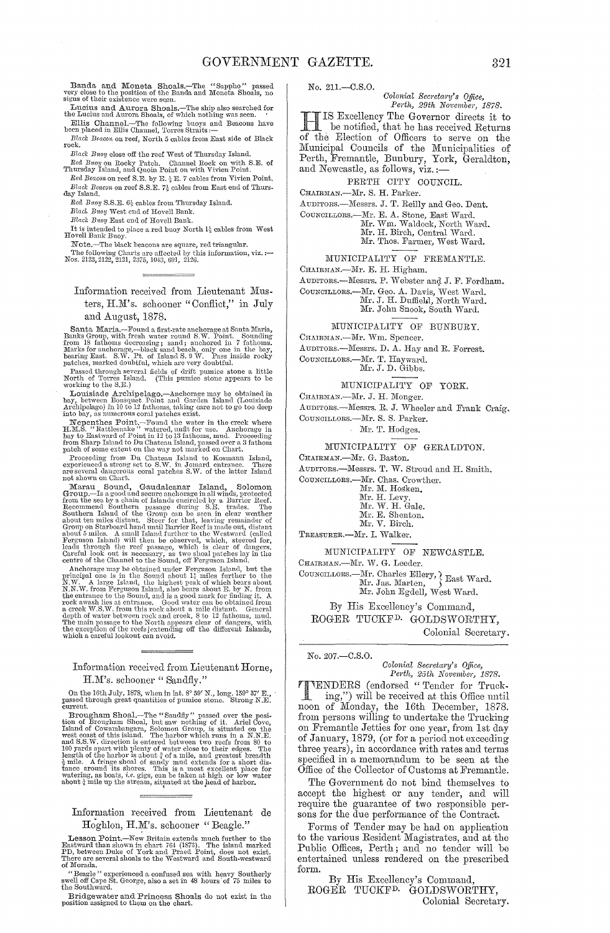Banda and Moneta Shoals.—The "Sappho" passed<br>very close to the position of the Banda and Moneta Shoals, no<br>signs of their existence were seen.<br>The interval of the Sanda and Moneta Shoals, no

signs of their existence were seen.<br>
Lucius and Aurora Shoals.—The ship also searched for<br>
the Lucius and Aurora Shoals, of which nothing was seen.<br>
Fillis Channel.—The following buoys and Beacons have<br>
been placed in Elli

rock.

Black Buoy close off the reef West of Thursday Island.

near Barol on the rest west of Thursday Island.<br>
Red Buoy on Rocky Patch. Channel Rock on with S.E. of<br>
Thursday Island, and Quoin Point on with Vivien Point.<br>
Red Buoyon neef S.E. by E.  $\frac{1}{2}$  E. 7 cables from Vivien P Red Buoy S.S.E. 6} cables from Thursday Island.

Black Buoy West end of Hovell Bank.

Black Buoy East end of Hovell Bank.

It is intended to place a red buoy North  $\mathbf{l}^1_2$  cables from West Hovell Bank Buoy.

Hoven Dank Development and Divide.<br>The following Charls are affected by this information, viz. :—<br>Nos. 2123, 2122, 2121, 2375, 1043, 691, 2126.

#### Information received from Lieutenant Musters, H.M's. schooner "Conflict," in July and August, 1878.

Canta Maria, Santa Maria, Terbunda first-rate anchorage at Santa Maria, Banks Group, with fresh water round S.W. Point. Sounding from 18 fathoms decreasing; sand; anchord in 7 fathoms. Marks for anothers, have the same mat

Moraing to the U.S., Interface and Social Archipelago.—Anchorage may be obtained in bay, between Bonsquet Point and Garden Island (Louisiade Archipelago) in 10 to 12 fathoms, taking care not to go too deep into bay, as num

hay, become<br>a and variable on the distance is an and to go too deep and Archipelago) in 10 to 12 fathoms, taking care not to go too deep<br>in to My as unitered water in the creek where H.M.S. "Rathesnake" watered, unit for

#### Information received from Lieutenant Horne, H.M's. schooner "Sandfly."

On the 16th July, 1878, when in lat.  $8^{\circ} \, 59'$  N., long. 159° 37′ E., assed through great quantities of pumice stone. Strong N.E. passed ti<br>current.

current.<br>Trougham Shoal,—The "Sandhy" passed over the position of Brougham Shoal, but saw nothing of it. Ariel Cove, Island of Cowambangara, Solomon Group, is situated on the west coast of this island. The harbor which ru

#### Information received from Lieutenant de Hoghlon, H.M's. schooner "Beagle."

Lesson Point.—New Britain extends much further to the Eastward than shown in chart 764 (1873). The island marked PD, between Duke of York and Praed Point, does not exist. There are several shoals to the Westward and South-

of Beagle " experienced a confused sea with heavy Southerly<br>swell off Cape St. George, also a set in 48 hours of 75 miles to the Southward.

Bridgewater and Princess Shoals do not exist in the position assigned to them on the chart.

No. 211 .- C.S.O.

# Colonial Secretary's Office,<br>Perth, 29th November, 1878.

IS Excellency The Governor directs it to be notified, that he has received Returns of the Election of Officers to serve on the Municipal Councils of the Municipalities of Perth, Fremantle, Bunbury, York, Geraldton, and Newcastle, as follows, viz.:-

#### PERTH CITY COUNCIL.

CHAIRMAN.-Mr. S. H. Parker.

AUDITORS.-Messrs. J. T. Reilly and Geo. Dent.

COUNCILLORS.-Mr. E. A. Stone, East Ward. Mr. Wm. Waldock, North Ward.

Mr. H. Birch, Central Ward. Mr. Thos. Farmer, West Ward.

MUNICIPALITY OF FREMANTLE.

CHAIRMAN.-Mr. E. H. Higham.

AUDITORS.-Messrs. P. Webster and J. F. Fordham.

COUNCILLORS.—Mr. Geo. A. Davis, West Ward.<br>Mr. J. H. Duffield, North Ward.<br>Mr. John Snook, South Ward.

#### MUNICIPALITY OF BUNBURY.

CHAIRMAN.-Mr. Wm. Spencer.

AUDITORS.-Messrs. D. A. Hay and R. Forrest.

COUNCILLORS.—Mr. T. Hayward.<br>Mr. J. D. Gibbs.

MUNICIPALITY OF YORK.

CHAIRMAN.-Mr. J. H. Monger.

AUDITORS.-Messrs. R. J. Wheeler and Frank Craig.

COUNCILLORS.-Mr. S. S. Parker.

Mr. T. Hodges.

MUNICIPALITY OF GERALDTON.

CHAIRMAN.-Mr. G. Baston.

AUDITORS.-Messrs. T. W. Stroud and H. Smith.

COUNCILLORS.-Mr. Chas. Crowther.

Mr. M. Hosken.

- 
- Mr. M. Hosken,<br>Mr. H. Levy.<br>Mr. W. H. Gale,<br>Mr. E. Shenton,<br>Mr. V. Birch.

TREASURER.-Mr. I. Walker.

MUNICIPALITY OF NEWCASTLE.

CHAIRMAN.-Mr. W. G. Leeder.

By His Excellency's Command,

ROGER TUCKF<sup>D.</sup> GOLDSWORTHY,

Colonial Secretary.

No. 207 .- C.S.O.

Colonial Secretary's Office,<br>Perth, 25th November, 1878.

VENDERS (endorsed "Tender for Truck-ing,") will be received at this Office until<br>noon of Monday, the 16th December, 1878. from persons willing to undertake the Trucking on Fremantle Jetties for one year, from 1st day of January, 1879, (or for a period not exceeding three years), in accordance with rates and terms specified in a memorandum to be seen at the Office of the Collector of Customs at Fremantle.

The Government do not bind themselves to accept the highest or any tender, and will require the guarantee of two responsible persons for the due performance of the Contract.

Forms of Tender may be had on application to the various Resident Magistrates, and at the Public Offices, Perth; and no tender will be entertained unless rendered on the prescribed form.

By His Excellency's Command, ROGER TUCKF<sup>D.</sup> GOLDSWORTHY, Colonial Secretary.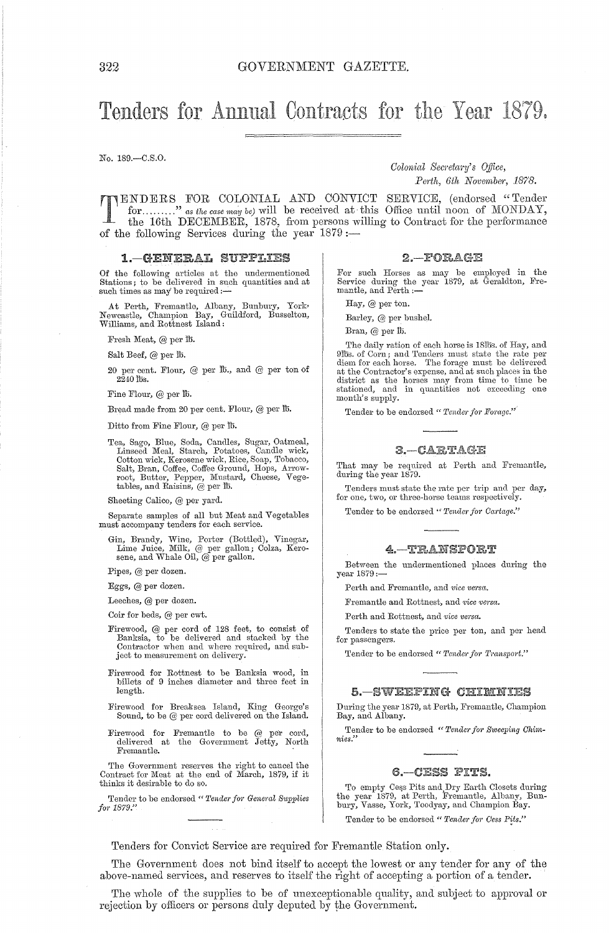# Tenders for Annual Contracts for the Year 1879.

No. 189.-C.S.0.

*Colonictl Secreta?'Y's O.ifice,* 

TENDERS FOR COLONIAL AND CONVICT SERVICE, (endorsed "Tender for ........." as the case may be) will be received at this Office until noon of MONDAY, the 16th DECEMBER, 1878, from persons willing to Contract for the perform for........." as the case may be) will be received at this Office until noon of MONDAY, of the following Services during the year 1879;-

#### 1.-GENERAL SUPPLIES

Of the following articles at the undermentioned Stations; to be delivered in such quantities and at such times as may be required :-

At Perth, Fremantle, Albany, Bunbury, York, Newcastle, Champion Bay, Guildford, Busselton, Williams, and Rottnest Island:

Fresh Meat, @ per lb.

Salt Beef, @ per lb.

20 per cent. Flour, @ per 115., and @ per ton of  $2240$  lbs.

Fine Flour, @ per lb.

Bread made from 20 per cent. Flour, @ per lb.

Ditto from Fine Flour,  $@$  per  $@$ .

Tea, Sago, Blue, Soda, Candles, Sugar, Oatmeal, Linseed Meal, Starch, Potatoes, Candle wick, Cotton wick, Kerosene wick, Rice, Soap, Tobacco, Salt, Bran, Coffee, Coffee Ground, Hops, Arrow-<br>root, Butter, Pepper, Mustard, Cheese, Vege-<br>tables, and Raisins, @ per lb.

Sheeting Calico, @ per yard.

Separate samples of all but Meat and Vegetables must accompany tenders for each service.

Gin, Brandy, Wine, Porter (Bottled), Vinegar, Lime Juice, Milk, @ per gallon; Colza, Kerosene, and Whale Oil, @ per gallon.

Pipes, @ per dozen.

Eggs, @ per dozen.

Leeches, @ per dozen.

Coir for beds, @ per cwt.

- Firewood, @ per cord of 128 feet, to consist of Banksia, to be delivered and stacked by the Contractor when and where required, and subject to measurement on delivery.
- Firewood for Rottnest to be Banksia wood, in billets of 9 inches diameter and three feet in length.
- Firewood for Breaksea Island, King George's Sound, to be @ per cord delivered on the Island.
- Firewood for Fremantle to be @ per cord, delivered at the Government Jetty, North Fremantle.

The Government reserves the right to cancel the Contract for Meat at the end of March, 1879, if it thinks it desirable to do so.

Tender to be endorsed " Tender for General Supplies *f01'1879."* 

Perth, 6th November, 1878.

the 16th DECEMBER, 1878, from persons willing to Contract for the performance

#### $2 - FORAGE$

For such Horses as may be employed in the Service during the year 1879, at Geraldton, Fre-<br>mantle, and Perth :-

Hay,  $\omega$  per ton.

Barley, @ per bushel.

Bran,  $@$  per  $th$ .

The daily ration of each horse is 18lbs. of Hay, and<br>9lbs. of Corn; and Tenders must state the rate per<br>diem for each horse. The forage must be delivered<br>at the Contractor's expense, and at such places in the<br>district as t month's supply.

Tender to be endorsed " Tender for Forage."

#### $3 - C \triangle E T \triangle G E$

That may be required at Perth and Fremantle, during the year 1879.

Tenders must state the rate per trip and per day, for one, two, or three-horse teams respectively.

Tender to be endorsed " Tender for Cartage."

#### 4. TRANSPORT

Between the undermentioned places during the year 1879:-

Perth and Fremantle, and *vice versa.* 

Fremantle and Rottnest, and *vice versa*.

Perth and Rottnest, and *vice versa.* 

Tenders to state the price per ton, and per head for passengers.

Tender to be endorsed " Tender for Transport."

#### 5. – SWEEPING CHIMNIES

During the year 1879, at Perth, Fremantle, Champion Bay, and Albany.

Tender to be endorsed " Tender for Sweeping Chim*nies."* 

#### 6. - CESS PITS.

To empty Cess Pits and Dry Earth Closets during<br>the year 1879, at Perth, Fremantle, Albany, Bun-<br>bury, Vasse, York, Toodyay, and Champion Bay.

Tender to be endorsed " Tender for Cess Pits."

Tenders for Convict Service are required for Fremantle Station only.

The Government does not bind itself to accept the lowest or any tender for any of the above-named services, and reserves to itself the right of accepting a portion of a tender.

The whole of the supplies to be of unexceptionable quality, and subject to approval or rejection by officers or persons duly deputed by the Government.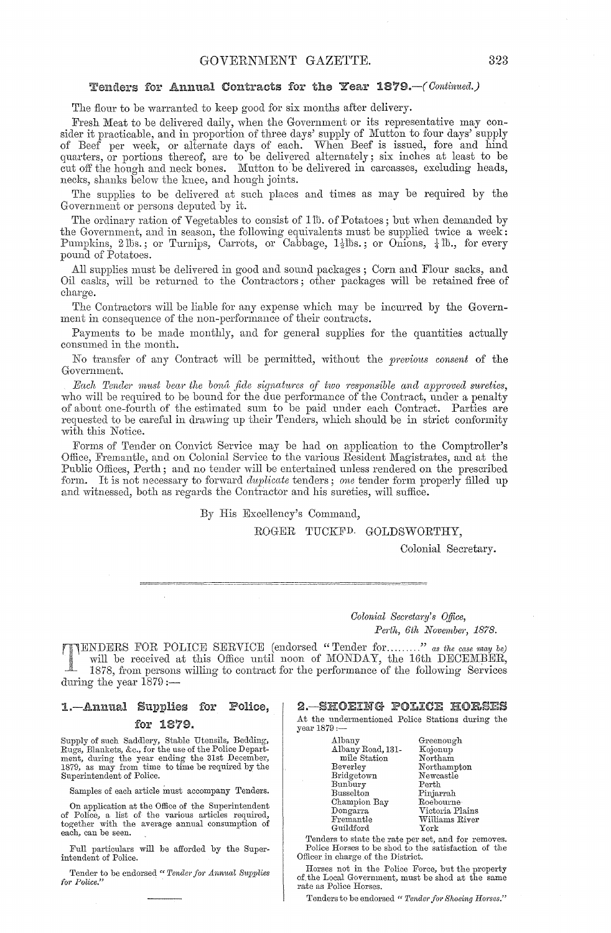#### Tenders for Annual Contracts for the Year 1879. - (Continued.)

The flour to be warranted to keep good for six months after delivery.

Fresh Meat to be delivered daily, when the Government or its representative may consider it practicable, and in proportion of three days' supply of Mutton to four days' supply<br>of Beef per week, or alternate days of each. When Beef is issued, fore and hind<br>quarters, or portions thereof, are to be delivere necks, shanks below the knee, and hough joints.

The supplies to be delivered at such places and times as may be required by the Government or persons deputed by it.

The ordinary ration of Vegetables to consist of 11b. of Potatoes; but when demanded by the Government, and in season, the following equivalents must be supplied twice a week:<br>Pumpkins, 2lbs.; or Turnips, Carrots, or Cabbage,  $1\frac{1}{2}$ lbs.; or Onions,  $\frac{1}{4}$ lb., for every pound of Potatoes.

All supplies must be delivered in good and sound packages; Corn and Flour sacks, and Oil casks, will be returned to the Contractors; other packages will be retained free of charge.

The Contractors will be liable for any expense which may be incurred by the Government in consequence of the non-performance of their contracts.

Payments to be made monthly, and for general supplies for the quantities actually consumed in the month.

No transfer of any Contract will be permitted, without the previous consent of the Government.

Each Tender must bear the bond fide signatures of two responsible and approved sureties, who will be required to be bound for the due performance of the Contract, under a penalty of about one-fourth of the estimated sum to be paid under each Contract. Parties are requested to be careful in drawing up their Tenders, which should be in strict conformity with this Notice.

Forms of Tender on Convict Service may be had on application to the Comptroller's Office, Fremantle, and on Colonial Service to the various Resident Magistrates, and at the Public Offices, Perth; and no tender will be entertained unless rendered on the prescribed form. It is not necessary to forward *duplicate* tenders; one tender form properly filled up and witnessed, both as regards the Contractor and his sureties, will suffice.

By His Excellency's Command,

ROGER TUCKFD. GOLDSWORTHY.

Colonial Secretary.

Colonial Secretary's Office, Perth, 6th November, 1878.

TENDERS FOR POLICE SERVICE (endorsed "Tender for........" as the case may be) will be received at this Office until noon of MONDAY, the 16th DECEMBER, 1878, from persons willing to contract for the performance of the following Services during the year  $1879:$ 

#### 1.—Annual Supplies for Police, for 1879.

Supply of such Saddlery, Stable Utensils, Bedding, Rugs, Blankets, &c., for the use of the Police Department, during the year ending the 31st December, 1879, as may from time to time be required by the Superintendent of Police.

Samples of each article must accompany Tenders.

On application at the Office of the Superintendent of Police, a list of the various articles required, together with the average annual consumption of each, can be seen.

Full particulars will be afforded by the Superintendent of Police.

Tender to be endorsed "Tender for Annual Supplies for Police.

2. SHOEING POLICE HORSES At the undermentioned Police Stations during the year 1879 :-

| Albany            | Greenough       |
|-------------------|-----------------|
| Albany Road, 131- | Kojonup         |
| mile Station      | Northam         |
| Beverley          | Northampton     |
| Bridgetown        | Newcastle       |
| Bunbury           | Perth           |
| <b>Busselton</b>  | Pinjarrah       |
| Champion Bay      | Roebourne       |
| Dongarra          | Victoria Plains |
| Fremantle         | Williams River  |
| Guildford         | ${\rm York}$    |
|                   |                 |

Tenders to state the rate per set, and for removes.<br>Police Horses to be shod to the satisfaction of the Officer in charge of the District.

Horses not in the Police Force, but the property of the Local Government, must be shod at the same rate as Police Horses.

Tenders to be endorsed "Tender for Shoeing Horses."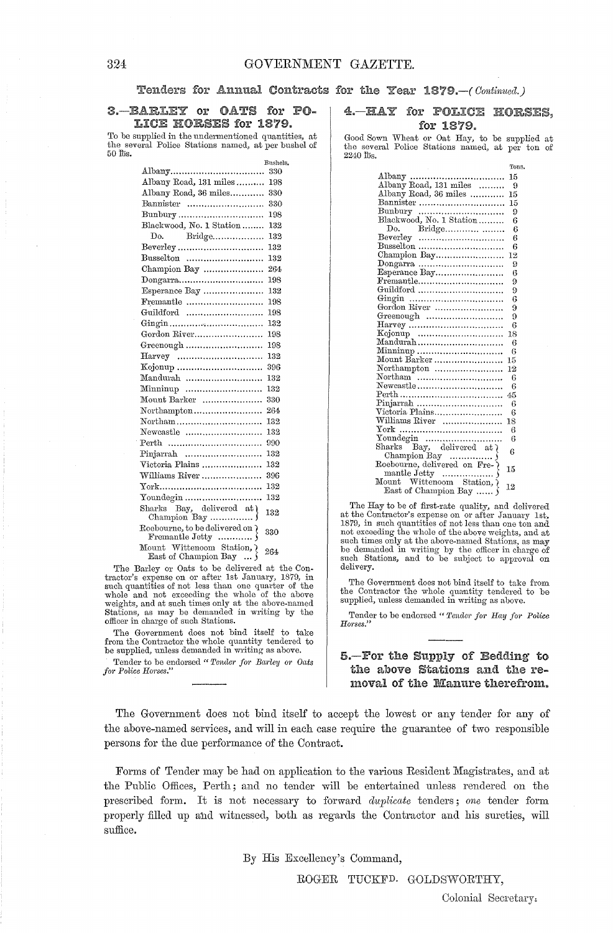## Tenders for Annual Contracts for the Year 1879. - (Continued.)

#### 3.-BARLEY or OATS for PO-LICE HORSES for 1879.

To be supplied in the undermentioned quantities, at the several Police Stations named, at per bushel of 50 lbs.

|                                                       | 68880 <del>018</del> |
|-------------------------------------------------------|----------------------|
|                                                       | 330                  |
| Albany Road, 131 miles                                | 198                  |
| Albany Road, 36 miles                                 | 330                  |
| Bannister                                             | 330                  |
| Bunbury                                               | 198                  |
| Blackwood, No. 1 Station                              | 132                  |
| Do. Bridge                                            | 132                  |
|                                                       | 132                  |
| Busselton                                             | 132                  |
| Champion Bay                                          | 264                  |
| Dongarra                                              | 198                  |
| Esperance Bay                                         | 132                  |
| Fremantle                                             | 198                  |
| Guildford                                             | 198                  |
|                                                       | 132                  |
| Gordon River                                          | 198                  |
|                                                       | 198                  |
|                                                       | 132                  |
|                                                       | 396                  |
| Mandurah                                              | 132                  |
| $\text{Minminup}$                                     | 132                  |
| Mount Barker                                          | 330                  |
|                                                       | 264                  |
| Northam                                               | 132                  |
| Newcastle                                             | 132                  |
| Perth                                                 | 990                  |
|                                                       | 132                  |
| Victoria Plains                                       | 132                  |
| Williams River                                        | 396                  |
|                                                       | 132                  |
| Youndegin                                             | 132                  |
| Sharks Bay, delivered at )                            | 132                  |
| Roebourne, to be delivered on $\mathfrak d$           | 330                  |
| Mount Wittencom Station, }<br>East of Champion Bay  } | 264                  |

The Barley or Oats to be delivered at the Contractor's expense on or after 1st January, 1879, in<br>such quantities of not less than one quarter of the<br>whole and not exceeding the whole of the above where and not executing only at the above-named<br>Stations, as may be demanded in writing by the officer in charge of such Stations.

The Government does not bind itself to take from the Contractor the whole quantity tendered to be supplied, unless demanded in writing as above.

Tender to be endorsed "Tender for Barley or Oats for Police Horses.

#### 4. HAY for POLICE HORSES. for 1879.

Good Sown Wheat or Oat Hay, to be supplied at the several Police Stations named, at per ton of 2240 lbs.

|                                                       | Tons  |
|-------------------------------------------------------|-------|
|                                                       | 15    |
|                                                       | 9     |
| Albany Road, 36 miles                                 | 15    |
| Bannister                                             | 15    |
| Bunbury                                               | 9     |
| Blackwood, No. 1 Station                              | 6     |
|                                                       | 6     |
|                                                       | 6     |
| Busselton                                             | 6     |
| Champion Bay                                          | 12    |
|                                                       | 9     |
| Esperance Bay                                         | в     |
| $Fromantle.\dots.\dots.\dots.\dots.\dots\dots$        | 9     |
| Guildford                                             | 9     |
|                                                       | 6     |
| Gordon River                                          | 9     |
|                                                       | 9     |
|                                                       | 6     |
|                                                       | 18    |
| Mandurah                                              | 6     |
| $\text{Minminup}$                                     | 6     |
| Mount Barker                                          | 15    |
| Northampton                                           | 12    |
|                                                       | 6     |
| Newcastle                                             | 6     |
|                                                       | $-45$ |
| Pinjarrah                                             | 6     |
| Victoria Plains                                       | 6     |
| Williams River                                        | 18    |
|                                                       | 6     |
|                                                       | 6     |
| Sharks $\overline{Bay}$ , delivered at $\overline{a}$ | 6     |
|                                                       |       |
|                                                       | 15    |
|                                                       |       |
|                                                       | 12    |
| East of Champion Bay                                  |       |

The Hay to be of first-rate quality, and delivered at the Contractor's expense on or after January 1st,<br>1879, in such quantities of not less than one ton and<br>not exceeding the whole of the above weights, and at such times only at the above-named Stations, as may be demanded in writing by the officer in charge of such Stations, and to be subject to approval on delivery.

The Government does not bind itself to take from the Contractor the whole quantity tendered to be supplied, unless demanded in writing as above.

Tender to be endorsed "Tender for Hay for Police Horses.'

#### 5.-For the Supply of Bedding to the above Stations and the removal of the Manure therefrom.

The Government does not bind itself to accept the lowest or any tender for any of the above-named services, and will in each case require the guarantee of two responsible persons for the due performance of the Contract.

Forms of Tender may be had on application to the various Resident Magistrates, and at the Public Offices, Perth; and no tender will be entertained unless rendered on the prescribed form. It is not necessary to forward duplicate tenders; one tender form properly filled up and witnessed, both as regards the Contractor and his sureties, will suffice.

By His Excellency's Command,

ROGER TUCKFD. GOLDSWORTHY,

Colonial Secretary.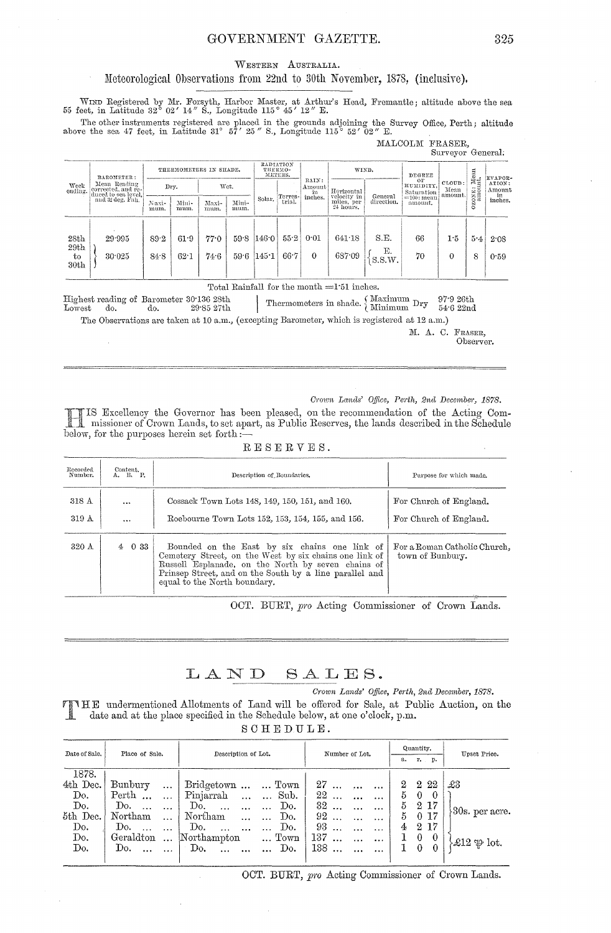#### GOVERNMENT GAZETTE.

WESTERN AUSTRALIA.

#### Meteorological Observations from 22nd to 30th November, 1878, (inclusive).

WIND Registered by Mr. Forsyth, Harbor Master, at Arthur's Head, Fremantle; altitude above the sea 55 feet, in Latitude 32° 02' 14" S., Longitude 115° 45' 12" E.

The other instruments registered are placed in the grounds adjoining the Survey Office, Perth; altitude above the sea 47 feet, in Latitude 31° 57' 25" S., Longitude 115° 52' 02" E.

|                        |                                                           |                        |               |               |                                 |         |        |                                  |                           |              | MALCOLM FRASER,               | Surveyor General:          |                            |                        |
|------------------------|-----------------------------------------------------------|------------------------|---------------|---------------|---------------------------------|---------|--------|----------------------------------|---------------------------|--------------|-------------------------------|----------------------------|----------------------------|------------------------|
|                        | BAROMETER:                                                | THERMOMETERS IN SHADE. |               |               | RADIATION<br>THERMO-<br>METERS. |         | WIND.  |                                  | DEGREE                    |              | Mean<br>nt.                   | EVAPOR-                    |                            |                        |
| Week<br>ending.        | Mean Reading<br>corrected, and re-<br>duced to sea level, |                        | Dry.          | Wet.          |                                 | Terres- |        | RAIN:<br>Amount<br>in<br>inches. | Horizontal<br>velocity in | General      | ОF<br>HUMIDITY.<br>Saturation | CLOUD:<br>Mean<br>.amount. | $\cdots$<br>CONE:<br>SANCE | ATION:<br>Amount<br>in |
|                        | and 32 deg, Fah.                                          | Naxi-<br>mum.          | Mini-<br>mum. | Maxi-<br>mum. | Mini-<br>mum.                   | Solar.  | trial. |                                  | miles, per<br>24 hours.   | direction.   | $=100$ : mean<br>amount.      |                            | $\circ$                    | inches.                |
|                        |                                                           |                        |               |               |                                 |         |        |                                  |                           |              |                               |                            |                            |                        |
| 28th<br>29th           | 29.995                                                    | 89.2                   | 61.9          | 77.0          | 59.8                            | 146.0   | 55.2   | 0.01                             | 641.18                    | S.E.         | 66                            | 1.5                        | 5.4                        | 2.08                   |
| to<br>30 <sub>th</sub> | 30.025                                                    | 84.8                   | 62.1          | 74.6          | 59.6                            | 145.1   | 66.7   | $\Omega$                         | 687.09                    | Ε.<br>S.S.W. | 70                            | $\theta$                   | 8                          | 0.59                   |
|                        |                                                           |                        |               |               | .                               |         | $\sim$ | $\mathbf{r}$                     | .                         |              |                               |                            |                            |                        |

#### Total Rainfall for the month =1.51 inches.

Highest reading of Barometer 30.136 28th Thermometers in shade.  $\left\{\n \begin{array}{cc}\n \text{Maximum} & \text{Dry} & \text{97:926th} \\
 \text{Minimum} & \text{Dry} & \text{54:622nd}\n \end{array}\n \right.$  $29^\circ 85$ 27th Lowest do. do.

The Observations are taken at 10 a.m., (excepting Barometer, which is registered at 12 a.m.)

M. A. C. FRASER,

Observer.

#### Crown Lands' Office, Perth, 2nd December, 1878.

IS Excellency the Governor has been pleased, on the recommendation of the Acting Commissioner of Crown Lands, to set apart, as Public Reserves, the lands described in the Schedule below, for the purposes herein set forth :-

| Recorded<br>Number. | Content.<br>A. R. P. | Description of Boundaries.                                                                                                                                                                                                                               | Purpose for which made.                          |
|---------------------|----------------------|----------------------------------------------------------------------------------------------------------------------------------------------------------------------------------------------------------------------------------------------------------|--------------------------------------------------|
| 318 A<br>319A       | <br>$\cdots$         | Cossack Town Lots 148, 149, 150, 151, and 160.<br>Roebourne Town Lots 152, 153, 154, 155, and 156.                                                                                                                                                       | For Church of England.<br>For Church of England. |
| 320 A               | $4\quad 0\;33$       | Bounded on the East by six chains one link of<br>Cemetery Street, on the West by six chains one link of<br>Russell Esplanade, on the North by seven chains of<br>Prinsep Street, and on the South by a line parallel and<br>equal to the North boundary. | For a Roman Catholic Church.<br>town of Bunbury. |

#### RESERVES.

OCT. BURT, pro Acting Commissioner of Crown Lands.

#### LAND SALES.

#### Crown Lands' Office, Perth, 2nd December, 1878.

THE undermentioned Allotments of Land will be offered for Sale, at Public Auction, on the Ţ date and at the place specified in the Schedule below, at one o'clock, p.m. S

| СНЕРЛІЕ. |  |  |  |  |  |  |
|----------|--|--|--|--|--|--|
|----------|--|--|--|--|--|--|

| Date of Sale.<br>Place of Sale. |                       | Description of Lot.                           | Number of Lot.               | Quantity.               | Upset Price.                         |  |
|---------------------------------|-----------------------|-----------------------------------------------|------------------------------|-------------------------|--------------------------------------|--|
|                                 |                       |                                               |                              | г. р.<br>a.             |                                      |  |
| 1878.                           |                       |                                               |                              |                         |                                      |  |
| 4th Dec.                        | Bunbury<br>$\ldots$   | Bridgetown   Town                             | 27<br>                       | $^{2}$<br>22<br>$^{2}$  | £3                                   |  |
| Do.                             | Perth<br>$\ddotsc$    | Pinjarrah<br>Sub.<br>$\cdots$<br>$\mathbf{1}$ | 22<br>$\cdots$               | 5<br>$\bf{0}$           |                                      |  |
| Do.                             | Do.                   | Do.<br>Do.<br>$\cdots$                        | 32<br>$\ddotsc$              | 5<br>2 17               |                                      |  |
| 5th Dec.                        | Northam<br>$\cdots$   | Northam<br>Do.<br>$\ddotsc$                   | 92<br>$\cdots$               | 0 17<br>5               | $80s.$ per acre.                     |  |
| Do.                             | Do.                   | Do.<br>Do.<br>.                               | 93<br>$\cdots$               | $2^{\circ}$<br>-17<br>4 |                                      |  |
| Do.                             | Geraldton<br>$\cdots$ | Northampton<br>$\ldots$ Town                  | 137<br>$\ddotsc$<br>$\cdots$ | $\theta$                |                                      |  |
| Do.                             | Do.                   | Do.<br>Do.                                    | 138<br>$\cdots$              | $\Omega$<br>$\theta$    | $\mathcal{L}12 \oplus \mathrm{lot.}$ |  |
|                                 |                       |                                               |                              |                         |                                      |  |

OCT. BURT, pro Acting Commissioner of Crown Lands.